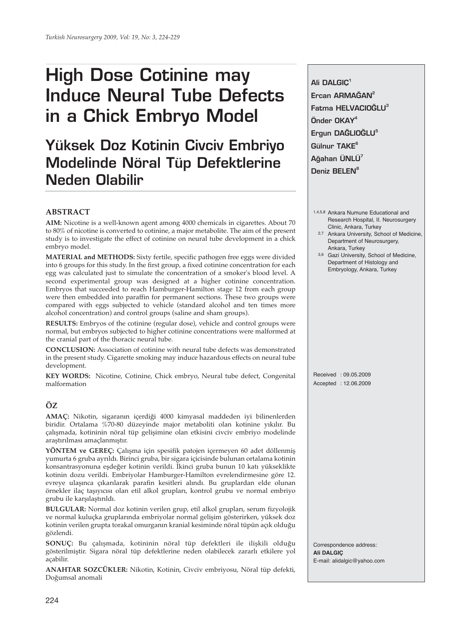# **High Dose Cotinine may Induce Neural Tube Defects in a Chick Embryo Model**

## **Yüksek Doz Kotinin Civciv Embriyo Modelinde Nöral Tüp Defektlerine Neden Olabilir**

#### **ABSTRACT**

**AIM:** Nicotine is a well-known agent among 4000 chemicals in cigarettes. About 70 to 80% of nicotine is converted to cotinine, a major metabolite. The aim of the present study is to investigate the effect of cotinine on neural tube development in a chick embryo model.

**MATERIAL and METHODS:** Sixty fertile, specific pathogen free eggs were divided into 6 groups for this study. In the first group, a fixed cotinine concentration for each egg was calculated just to simulate the concentration of a smoker's blood level. A second experimental group was designed at a higher cotinine concentration. Embryos that succeeded to reach Hamburger-Hamilton stage 12 from each group were then embedded into paraffin for permanent sections. These two groups were compared with eggs subjected to vehicle (standard alcohol and ten times more alcohol concentration) and control groups (saline and sham groups).

**RESULTS:** Embryos of the cotinine (regular dose), vehicle and control groups were normal, but embryos subjected to higher cotinine concentrations were malformed at the cranial part of the thoracic neural tube.

**CONCLUSION:** Association of cotinine with neural tube defects was demonstrated in the present study. Cigarette smoking may induce hazardous effects on neural tube development.

**KEY WORDS:** Nicotine, Cotinine, Chick embryo, Neural tube defect, Congenital malformation

### **ÖZ**

**AMAÇ:** Nikotin, sigaranın içerdiği 4000 kimyasal maddeden iyi bilinenlerden biridir. Ortalama %70-80 düzeyinde major metaboliti olan kotinine yıkılır. Bu çalışmada, kotininin nöral tüp gelişimine olan etkisini civciv embriyo modelinde araştırılması amaçlanmıştır.

**YÖNTEM ve GEREÇ:** Çalışma için spesifik patojen içermeyen 60 adet döllenmiş yumurta 6 gruba ayrıldı. Birinci gruba, bir sigara içicisinde bulunan ortalama kotinin konsantrasyonuna eşdeğer kotinin verildi. İkinci gruba bunun 10 katı yükseklikte kotinin dozu verildi. Embriyolar Hamburger-Hamilton evrelendirmesine göre 12. evreye ulaşınca çıkarılarak parafin kesitleri alındı. Bu gruplardan elde olunan örnekler ilaç taşıyıcısı olan etil alkol grupları, kontrol grubu ve normal embriyo grubu ile karşılaştırıldı.

**BULGULAR:** Normal doz kotinin verilen grup, etil alkol grupları, serum fizyolojik ve normal kuluçka gruplarında embriyolar normal gelişim gösterirken, yüksek doz kotinin verilen grupta torakal omurganın kranial kesiminde nöral tüpün açık olduğu gözlendi.

**SONUÇ:** Bu çalışmada, kotininin nöral tüp defektleri ile ilişkili olduğu gösterilmiştir. Sigara nöral tüp defektlerine neden olabilecek zararlı etkilere yol açabilir.

**ANAHTAR SOZCÜKLER:** Nikotin, Kotinin, Civciv embriyosu, Nöral tüp defekti, Doğumsal anomali

**Ali DALGIÇ1** Ercan ARMAĞAN<sup>2</sup> **Fatma HELVACIO⁄LU<sup>3</sup> Önder OKAY4** Ergun DAĞLIOĞLU<sup>5</sup> Gülnur TAKE<sup>6</sup> **A¤ahan ÜNLÜ7** Deniz **BELEN<sup>8</sup>** 

- 1,4,5,8 Ankara Numune Educational and Research Hospital, II. Neurosurgery Clinic, Ankara, Turkey
- 2,7 Ankara University, School of Medicine, Department of Neurosurgery, Ankara, Turkey
- 3,6 Gazi University, School of Medicine, Department of Histology and Embryology, Ankara, Turkey

Received : 09.05.2009 Accepted : 12.06.2009

Correspondence address: **Ali DALGIÇ** E-mail: alidalgic@yahoo.com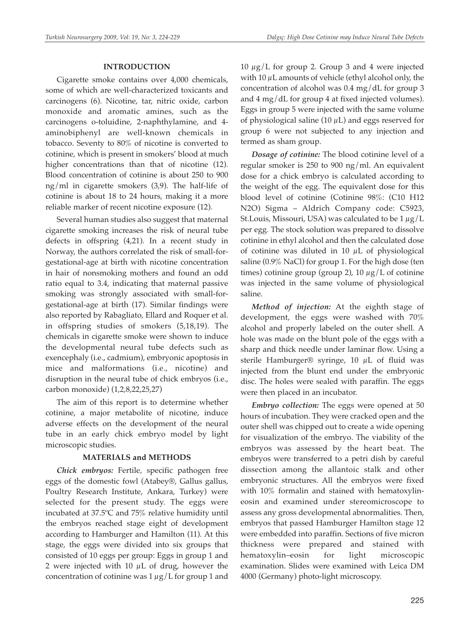#### **INTRODUCTION**

Cigarette smoke contains over 4,000 chemicals, some of which are well-characterized toxicants and carcinogens (6). Nicotine, tar, nitric oxide, carbon monoxide and aromatic amines, such as the carcinogens o-toluidine, 2-naphthylamine, and 4 aminobiphenyl are well-known chemicals in tobacco. Seventy to 80% of nicotine is converted to cotinine, which is present in smokers' blood at much higher concentrations than that of nicotine (12). Blood concentration of cotinine is about 250 to 900 ng/ml in cigarette smokers (3,9). The half-life of cotinine is about 18 to 24 hours, making it a more reliable marker of recent nicotine exposure (12).

Several human studies also suggest that maternal cigarette smoking increases the risk of neural tube defects in offspring (4,21). In a recent study in Norway, the authors correlated the risk of small-forgestational-age at birth with nicotine concentration in hair of nonsmoking mothers and found an odd ratio equal to 3.4, indicating that maternal passive smoking was strongly associated with small-forgestational-age at birth (17). Similar findings were also reported by Rabagliato, Ellard and Roquer et al. in offspring studies of smokers (5,18,19). The chemicals in cigarette smoke were shown to induce the developmental neural tube defects such as exencephaly (i.e., cadmium), embryonic apoptosis in mice and malformations (i.e., nicotine) and disruption in the neural tube of chick embryos (i.e., carbon monoxide) (1,2,8,22,25,27)

The aim of this report is to determine whether cotinine, a major metabolite of nicotine, induce adverse effects on the development of the neural tube in an early chick embryo model by light microscopic studies.

#### **MATERIALS and METHODS**

*Chick embryos:* Fertile, specific pathogen free eggs of the domestic fowl (Atabey®, Gallus gallus, Poultry Research Institute, Ankara, Turkey) were selected for the present study. The eggs were incubated at 37.5ºC and 75% relative humidity until the embryos reached stage eight of development according to Hamburger and Hamilton (11). At this stage, the eggs were divided into six groups that consisted of 10 eggs per group: Eggs in group 1 and 2 were injected with 10  $\mu$ L of drug, however the concentration of cotinine was  $1 \mu g/L$  for group 1 and 10  $\mu$ g/L for group 2. Group 3 and 4 were injected with 10  $\mu$ L amounts of vehicle (ethyl alcohol only, the concentration of alcohol was 0.4 mg/dL for group 3 and 4 mg/dL for group 4 at fixed injected volumes). Eggs in group 5 were injected with the same volume of physiological saline (10  $\mu$ L) and eggs reserved for group 6 were not subjected to any injection and termed as sham group.

*Dosage of cotinine:* The blood cotinine level of a regular smoker is 250 to 900 ng/ml. An equivalent dose for a chick embryo is calculated according to the weight of the egg. The equivalent dose for this blood level of cotinine (Cotinine 98%: (C10 H12 N2O) Sigma – Aldrich Company code: C5923, St.Louis, Missouri, USA) was calculated to be  $1 \mu g/L$ per egg. The stock solution was prepared to dissolve cotinine in ethyl alcohol and then the calculated dose of cotinine was diluted in 10  $\mu$ L of physiological saline (0.9% NaCl) for group 1. For the high dose (ten times) cotinine group (group 2), 10  $\mu$ g/L of cotinine was injected in the same volume of physiological saline.

*Method of injection:* At the eighth stage of development, the eggs were washed with 70% alcohol and properly labeled on the outer shell. A hole was made on the blunt pole of the eggs with a sharp and thick needle under laminar flow. Using a sterile Hamburger® syringe, 10 μL of fluid was injected from the blunt end under the embryonic disc. The holes were sealed with paraffin. The eggs were then placed in an incubator.

*Embryo collection:* The eggs were opened at 50 hours of incubation. They were cracked open and the outer shell was chipped out to create a wide opening for visualization of the embryo. The viability of the embryos was assessed by the heart beat. The embryos were transferred to a petri dish by careful dissection among the allantoic stalk and other embryonic structures. All the embryos were fixed with 10% formalin and stained with hematoxylineosin and examined under stereomicroscope to assess any gross developmental abnormalities. Then, embryos that passed Hamburger Hamilton stage 12 were embedded into paraffin. Sections of five micron thickness were prepared and stained with hematoxylin–eosin for light microscopic examination. Slides were examined with Leica DM 4000 (Germany) photo-light microscopy.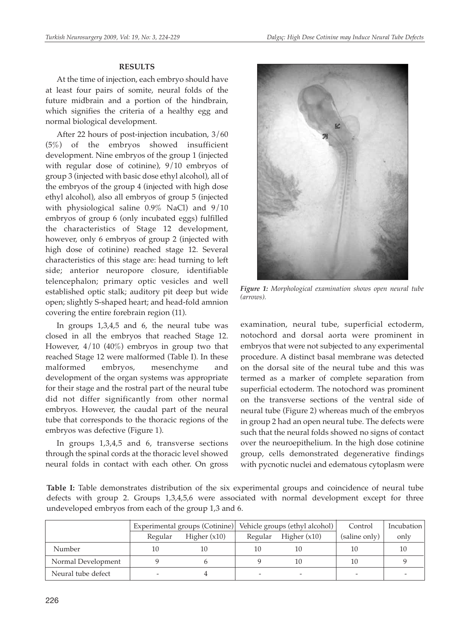#### **RESULTS**

At the time of injection, each embryo should have at least four pairs of somite, neural folds of the future midbrain and a portion of the hindbrain, which signifies the criteria of a healthy egg and normal biological development.

After 22 hours of post-injection incubation, 3/60 (5%) of the embryos showed insufficient development. Nine embryos of the group 1 (injected with regular dose of cotinine), 9/10 embryos of group 3 (injected with basic dose ethyl alcohol), all of the embryos of the group 4 (injected with high dose ethyl alcohol), also all embryos of group 5 (injected with physiological saline 0.9% NaCl) and 9/10 embryos of group 6 (only incubated eggs) fulfilled the characteristics of Stage 12 development, however, only 6 embryos of group 2 (injected with high dose of cotinine) reached stage 12. Several characteristics of this stage are: head turning to left side; anterior neuropore closure, identifiable telencephalon; primary optic vesicles and well established optic stalk; auditory pit deep but wide open; slightly S-shaped heart; and head-fold amnion covering the entire forebrain region (11).

In groups 1,3,4,5 and 6, the neural tube was closed in all the embryos that reached Stage 12. However, 4/10 (40%) embryos in group two that reached Stage 12 were malformed (Table I). In these malformed embryos, mesenchyme and development of the organ systems was appropriate for their stage and the rostral part of the neural tube did not differ significantly from other normal embryos. However, the caudal part of the neural tube that corresponds to the thoracic regions of the embryos was defective (Figure 1).

In groups 1,3,4,5 and 6, transverse sections through the spinal cords at the thoracic level showed neural folds in contact with each other. On gross



*Figure 1: Morphological examination shows open neural tube (arrows).*

examination, neural tube, superficial ectoderm, notochord and dorsal aorta were prominent in embryos that were not subjected to any experimental procedure. A distinct basal membrane was detected on the dorsal site of the neural tube and this was termed as a marker of complete separation from superficial ectoderm. The notochord was prominent on the transverse sections of the ventral side of neural tube (Figure 2) whereas much of the embryos in group 2 had an open neural tube. The defects were such that the neural folds showed no signs of contact over the neuroepithelium. In the high dose cotinine group, cells demonstrated degenerative findings with pycnotic nuclei and edematous cytoplasm were

**Table I:** Table demonstrates distribution of the six experimental groups and coincidence of neural tube defects with group 2. Groups 1,3,4,5,6 were associated with normal development except for three undeveloped embryos from each of the group 1,3 and 6.

|                    | Experimental groups (Cotinine) |                | Vehicle groups (ethyl alcohol) |                | Control       | Incubation |
|--------------------|--------------------------------|----------------|--------------------------------|----------------|---------------|------------|
|                    | Regular                        | Higher $(x10)$ | Regular                        | Higher $(x10)$ | (saline only) | only       |
| Number             |                                | 10             |                                | 10             | 10            | 10         |
| Normal Development |                                |                |                                | 10             | 10            |            |
| Neural tube defect |                                |                |                                |                |               |            |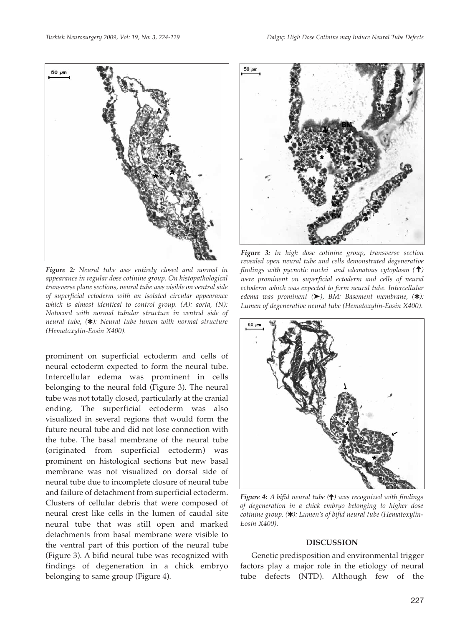

*Figure 2: Neural tube was entirely closed and normal in appearance in regular dose cotinine group. On histopathological transverse plane sections, neural tube was visible on ventral side of superficial ectoderm with an isolated circular appearance which is almost identical to control group. (A): aorta, (N): Notocord with normal tubular structure in ventral side of neural tube, (*✱*): Neural tube lumen with normal structure (Hematoxylin-Eosin X400).*

prominent on superficial ectoderm and cells of neural ectoderm expected to form the neural tube. Intercellular edema was prominent in cells belonging to the neural fold (Figure 3). The neural tube was not totally closed, particularly at the cranial ending. The superficial ectoderm was also visualized in several regions that would form the future neural tube and did not lose connection with the tube. The basal membrane of the neural tube (originated from superficial ectoderm) was prominent on histological sections but new basal membrane was not visualized on dorsal side of neural tube due to incomplete closure of neural tube and failure of detachment from superficial ectoderm. Clusters of cellular debris that were composed of neural crest like cells in the lumen of caudal site neural tube that was still open and marked detachments from basal membrane were visible to the ventral part of this portion of the neural tube (Figure 3). A bifid neural tube was recognized with findings of degeneration in a chick embryo belonging to same group (Figure 4).



*Figure 3: In high dose cotinine group, transverse section revealed open neural tube and cells demonstrated degenerative* findings with pycnotic nuclei) and edematous cytoplasm (**†**) *were prominent on superficial ectoderm and cells of neural ectoderm which was expected to form neural tube. Intercellular edema was prominent (*➤*), BM: Basement membrane, (*✱*): Lumen of degenerative neural tube (Hematoxylin-Eosin X400).*



**Figure 4:** A bifid neural tube (**†**) was recognized with findings *of degeneration in a chick embryo belonging to higher dose cotinine group. (*✱*): Lumen's of bifid neural tube (Hematoxylin-Eosin X400).*

#### **DISCUSSION**

Genetic predisposition and environmental trigger factors play a major role in the etiology of neural tube defects (NTD). Although few of the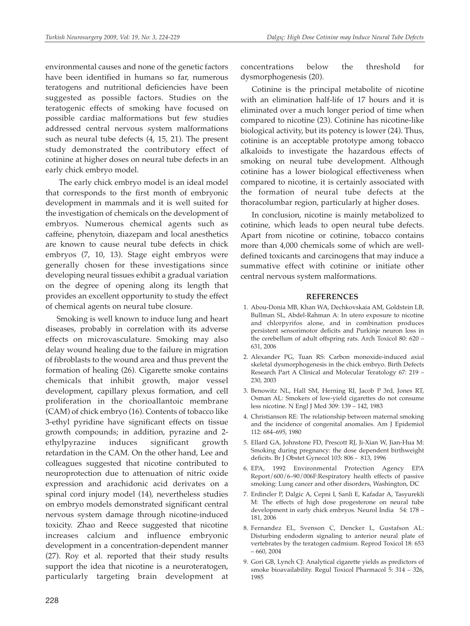environmental causes and none of the genetic factors have been identified in humans so far, numerous teratogens and nutritional deficiencies have been suggested as possible factors. Studies on the teratogenic effects of smoking have focused on possible cardiac malformations but few studies addressed central nervous system malformations such as neural tube defects (4, 15, 21). The present study demonstrated the contributory effect of cotinine at higher doses on neural tube defects in an early chick embryo model.

The early chick embryo model is an ideal model that corresponds to the first month of embryonic development in mammals and it is well suited for the investigation of chemicals on the development of embryos. Numerous chemical agents such as caffeine, phenytoin, diazepam and local anesthetics are known to cause neural tube defects in chick embryos (7, 10, 13). Stage eight embryos were generally chosen for these investigations since developing neural tissues exhibit a gradual variation on the degree of opening along its length that provides an excellent opportunity to study the effect of chemical agents on neural tube closure.

Smoking is well known to induce lung and heart diseases, probably in correlation with its adverse effects on microvasculature. Smoking may also delay wound healing due to the failure in migration of fibroblasts to the wound area and thus prevent the formation of healing (26). Cigarette smoke contains chemicals that inhibit growth, major vessel development, capillary plexus formation, and cell proliferation in the chorioallantoic membrane (CAM) of chick embryo (16). Contents of tobacco like 3-ethyl pyridine have significant effects on tissue growth compounds; in addition, pyrazine and 2 ethylpyrazine induces significant growth retardation in the CAM. On the other hand, Lee and colleagues suggested that nicotine contributed to neuroprotection due to attenuation of nitric oxide expression and arachidonic acid derivates on a spinal cord injury model (14), nevertheless studies on embryo models demonstrated significant central nervous system damage through nicotine-induced toxicity. Zhao and Reece suggested that nicotine increases calcium and influence embryonic development in a concentration-dependent manner (27). Roy et al. reported that their study results support the idea that nicotine is a neuroteratogen, particularly targeting brain development at concentrations below the threshold for dysmorphogenesis (20).

Cotinine is the principal metabolite of nicotine with an elimination half-life of 17 hours and it is eliminated over a much longer period of time when compared to nicotine (23). Cotinine has nicotine-like biological activity, but its potency is lower (24). Thus, cotinine is an acceptable prototype among tobacco alkaloids to investigate the hazardous effects of smoking on neural tube development. Although cotinine has a lower biological effectiveness when compared to nicotine, it is certainly associated with the formation of neural tube defects at the thoracolumbar region, particularly at higher doses.

In conclusion, nicotine is mainly metabolized to cotinine, which leads to open neural tube defects. Apart from nicotine or cotinine, tobacco contains more than 4,000 chemicals some of which are welldefined toxicants and carcinogens that may induce a summative effect with cotinine or initiate other central nervous system malformations.

#### **REFERENCES**

- 1. Abou-Donia MB, Khan WA, Dechkovskaia AM, Goldstein LB, Bullman SL, Abdel-Rahman A: In utero exposure to nicotine and chlorpyrifos alone, and in combination produces persistent sensorimotor deficits and Purkinje neuron loss in the cerebellum of adult offspring rats. Arch Toxicol 80: 620 – 631, 2006
- 2. Alexander PG, Tuan RS: Carbon monoxide-induced axial skeletal dysmorphogenesis in the chick embryo. Birth Defects Research Part A Clinical and Molecular Teratology 67: 219 – 230, 2003
- 3. Benowitz NL, Hall SM, Herning RI, Jacob P 3rd, Jones RT, Osman AL: Smokers of low-yield cigarettes do not consume less nicotine. N Engl J Med 309: 139 – 142, 1983
- 4. Christianson RE: The relationship between maternal smoking and the incidence of congenital anomalies. Am J Epidemiol 112: 684–695, 1980
- 5. Ellard GA, Johnstone FD, Prescott RJ, Ji-Xian W, Jian-Hua M: Smoking during pregnancy: the dose dependent birthweight deficits. Br J Obstet Gynecol 103: 806 - 813, 1996
- 6. EPA, 1992 Environmental Protection Agency EPA Report/600/6–90/006F:Respiratory health effects of passive smoking: Lung cancer and other disorders, Washington, DC
- 7. Erdincler P, Dalgic A, Cepni I, Sanli E, Kafadar A, Tasyurekli M: The effects of high dose progesterone on neural tube development in early chick embryos. Neurol India 54: 178 – 181, 2006
- 8. Fernandez EL, Svenson C, Dencker L, Gustafson AL: Disturbing endoderm signaling to anterior neural plate of vertebrates by the teratogen cadmium. Reprod Toxicol 18: 653 – 660, 2004
- 9. Gori GB, Lynch CJ: Analytical cigarette yields as predictors of smoke bioavailability. Regul Toxicol Pharmacol 5: 314 – 326, 1985